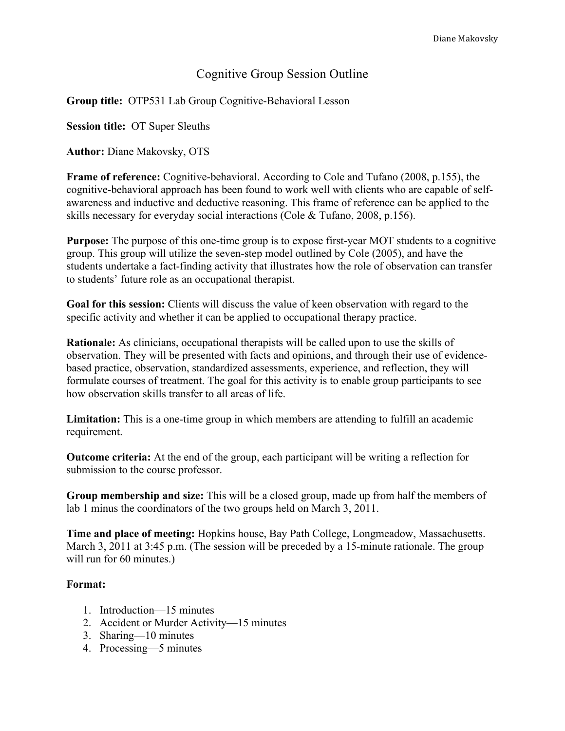# Cognitive Group Session Outline

**Group title:** OTP531 Lab Group Cognitive-Behavioral Lesson

**Session title:** OT Super Sleuths

**Author:** Diane Makovsky, OTS

**Frame of reference:** Cognitive-behavioral. According to Cole and Tufano (2008, p.155), the cognitive-behavioral approach has been found to work well with clients who are capable of selfawareness and inductive and deductive reasoning. This frame of reference can be applied to the skills necessary for everyday social interactions (Cole & Tufano, 2008, p.156).

**Purpose:** The purpose of this one-time group is to expose first-year MOT students to a cognitive group. This group will utilize the seven-step model outlined by Cole (2005), and have the students undertake a fact-finding activity that illustrates how the role of observation can transfer to students' future role as an occupational therapist.

**Goal for this session:** Clients will discuss the value of keen observation with regard to the specific activity and whether it can be applied to occupational therapy practice.

**Rationale:** As clinicians, occupational therapists will be called upon to use the skills of observation. They will be presented with facts and opinions, and through their use of evidencebased practice, observation, standardized assessments, experience, and reflection, they will formulate courses of treatment. The goal for this activity is to enable group participants to see how observation skills transfer to all areas of life.

**Limitation:** This is a one-time group in which members are attending to fulfill an academic requirement.

**Outcome criteria:** At the end of the group, each participant will be writing a reflection for submission to the course professor.

**Group membership and size:** This will be a closed group, made up from half the members of lab 1 minus the coordinators of the two groups held on March 3, 2011.

**Time and place of meeting:** Hopkins house, Bay Path College, Longmeadow, Massachusetts. March 3, 2011 at 3:45 p.m. (The session will be preceded by a 15-minute rationale. The group will run for 60 minutes.)

### **Format:**

- 1. Introduction—15 minutes
- 2. Accident or Murder Activity—15 minutes
- 3. Sharing—10 minutes
- 4. Processing—5 minutes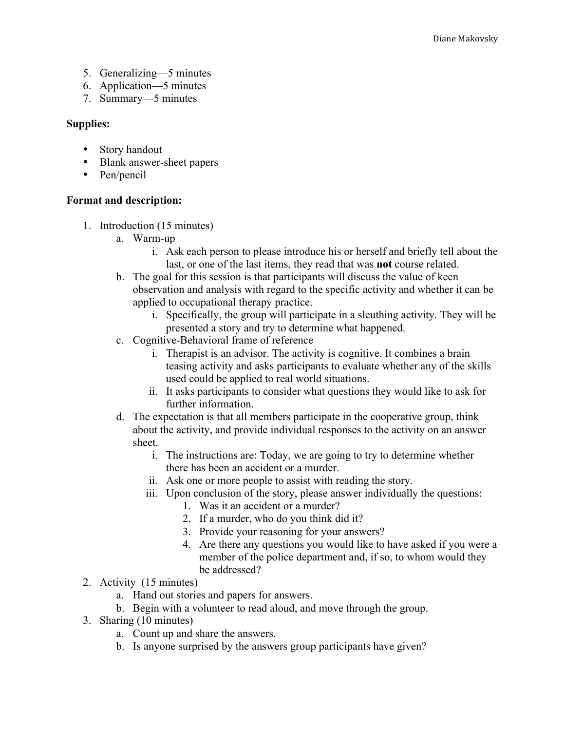- 5. Generalizing—5 minutes
- 6. Application—5 minutes
- 7. Summary—5 minutes

## **Supplies:**

- Story handout
- Blank answer-sheet papers
- Pen/pencil

### **Format and description:**

- 1. Introduction (15 minutes)
	- a. Warm-up
		- i. Ask each person to please introduce his or herself and briefly tell about the last, or one of the last items, they read that was **not** course related.
	- b. The goal for this session is that participants will discuss the value of keen observation and analysis with regard to the specific activity and whether it can be applied to occupational therapy practice.
		- i. Specifically, the group will participate in a sleuthing activity. They will be presented a story and try to determine what happened.
	- c. Cognitive-Behavioral frame of reference
		- i. Therapist is an advisor. The activity is cognitive. It combines a brain teasing activity and asks participants to evaluate whether any of the skills used could be applied to real world situations.
		- ii. It asks participants to consider what questions they would like to ask for further information.
	- d. The expectation is that all members participate in the cooperative group, think about the activity, and provide individual responses to the activity on an answer sheet.
		- i. The instructions are: Today, we are going to try to determine whether there has been an accident or a murder.
		- ii. Ask one or more people to assist with reading the story.
		- iii. Upon conclusion of the story, please answer individually the questions:
			- 1. Was it an accident or a murder?
			- 2. If a murder, who do you think did it?
			- 3. Provide your reasoning for your answers?
			- 4. Are there any questions you would like to have asked if you were a member of the police department and, if so, to whom would they be addressed?
- 2. Activity (15 minutes)
	- a. Hand out stories and papers for answers.
	- b. Begin with a volunteer to read aloud, and move through the group.
- 3. Sharing (10 minutes)
	- a. Count up and share the answers.
	- b. Is anyone surprised by the answers group participants have given?